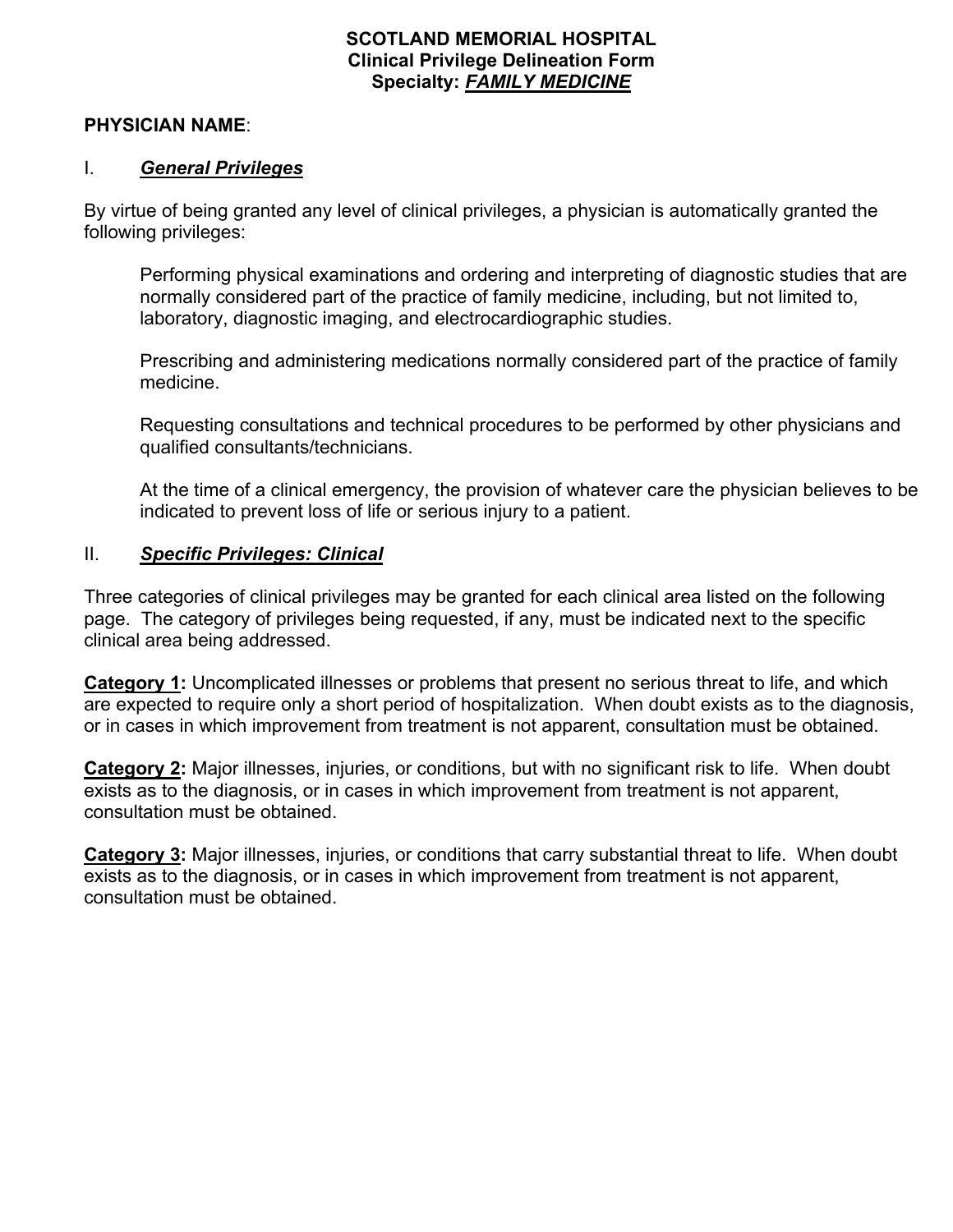## **SCOTLAND MEMORIAL HOSPITAL Clinical Privilege Delineation Form Specialty:** *FAMILY MEDICINE*

### **PHYSICIAN NAME**:

## I. *General Privileges*

By virtue of being granted any level of clinical privileges, a physician is automatically granted the following privileges:

Performing physical examinations and ordering and interpreting of diagnostic studies that are normally considered part of the practice of family medicine, including, but not limited to, laboratory, diagnostic imaging, and electrocardiographic studies.

Prescribing and administering medications normally considered part of the practice of family medicine.

Requesting consultations and technical procedures to be performed by other physicians and qualified consultants/technicians.

At the time of a clinical emergency, the provision of whatever care the physician believes to be indicated to prevent loss of life or serious injury to a patient.

## II. *Specific Privileges: Clinical*

Three categories of clinical privileges may be granted for each clinical area listed on the following page. The category of privileges being requested, if any, must be indicated next to the specific clinical area being addressed.

**Category 1:** Uncomplicated illnesses or problems that present no serious threat to life, and which are expected to require only a short period of hospitalization. When doubt exists as to the diagnosis, or in cases in which improvement from treatment is not apparent, consultation must be obtained.

**Category 2:** Major illnesses, injuries, or conditions, but with no significant risk to life. When doubt exists as to the diagnosis, or in cases in which improvement from treatment is not apparent, consultation must be obtained.

**Category 3:** Major illnesses, injuries, or conditions that carry substantial threat to life. When doubt exists as to the diagnosis, or in cases in which improvement from treatment is not apparent, consultation must be obtained.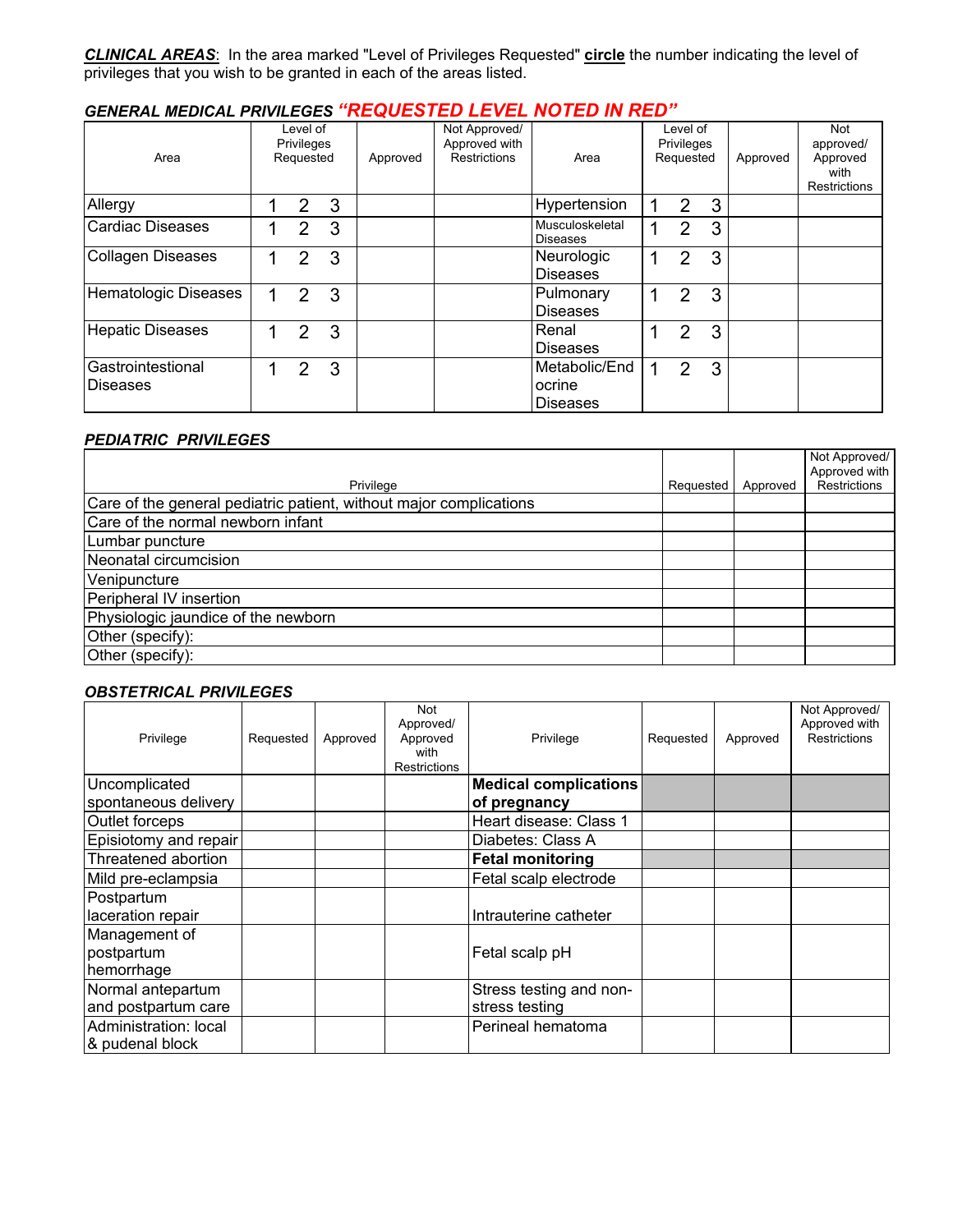*CLINICAL AREAS*: In the area marked "Level of Privileges Requested" **circle** the number indicating the level of privileges that you wish to be granted in each of the areas listed.

## *GENERAL MEDICAL PRIVILEGES "REQUESTED LEVEL NOTED IN RED"*

| Area                                 |   | Level of<br><b>Privileges</b><br>Requested |   | Approved | Not Approved/<br>Approved with<br><b>Restrictions</b> | Area                                       | Level of<br>Privileges<br>Requested |   | Approved | Not<br>approved/<br>Approved<br>with<br>Restrictions |
|--------------------------------------|---|--------------------------------------------|---|----------|-------------------------------------------------------|--------------------------------------------|-------------------------------------|---|----------|------------------------------------------------------|
| Allergy                              |   | 2                                          | 3 |          |                                                       | Hypertension                               | $\overline{2}$                      | 3 |          |                                                      |
| <b>Cardiac Diseases</b>              |   | 2                                          | 3 |          |                                                       | Musculoskeletal<br><b>Diseases</b>         | $\mathfrak{p}$                      | 3 |          |                                                      |
| <b>Collagen Diseases</b>             |   | 2                                          | 3 |          |                                                       | Neurologic<br>Diseases                     | $\mathcal{P}$                       | 3 |          |                                                      |
| <b>Hematologic Diseases</b>          | 1 | 2                                          | 3 |          |                                                       | Pulmonary<br><b>Diseases</b>               | 2                                   | 3 |          |                                                      |
| <b>Hepatic Diseases</b>              |   | 2                                          | 3 |          |                                                       | Renal<br><b>Diseases</b>                   | 2                                   | 3 |          |                                                      |
| Gastrointestional<br><b>Diseases</b> |   | 2                                          | 3 |          |                                                       | Metabolic/End<br>ocrine<br><b>Diseases</b> | $\mathcal{P}$                       | 3 |          |                                                      |

### *PEDIATRIC PRIVILEGES*

|                                                                    |           |          | Not Approved/ |
|--------------------------------------------------------------------|-----------|----------|---------------|
|                                                                    |           |          | Approved with |
| Privilege                                                          | Requested | Approved | Restrictions  |
| Care of the general pediatric patient, without major complications |           |          |               |
| Care of the normal newborn infant                                  |           |          |               |
| Lumbar puncture                                                    |           |          |               |
| Neonatal circumcision                                              |           |          |               |
| Venipuncture                                                       |           |          |               |
| Peripheral IV insertion                                            |           |          |               |
| Physiologic jaundice of the newborn                                |           |          |               |
| Other (specify):                                                   |           |          |               |
| Other (specify):                                                   |           |          |               |

### *OBSTETRICAL PRIVILEGES*

| Privilege                                 | Requested | Approved | Not<br>Approved/<br>Approved<br>with<br><b>Restrictions</b> | Privilege                                    | Requested | Approved | Not Approved/<br>Approved with<br><b>Restrictions</b> |
|-------------------------------------------|-----------|----------|-------------------------------------------------------------|----------------------------------------------|-----------|----------|-------------------------------------------------------|
| Uncomplicated<br>spontaneous delivery     |           |          |                                                             | <b>Medical complications</b><br>of pregnancy |           |          |                                                       |
| Outlet forceps                            |           |          |                                                             | Heart disease: Class 1                       |           |          |                                                       |
| Episiotomy and repair                     |           |          |                                                             | Diabetes: Class A                            |           |          |                                                       |
| Threatened abortion                       |           |          |                                                             | <b>Fetal monitoring</b>                      |           |          |                                                       |
| Mild pre-eclampsia                        |           |          |                                                             | Fetal scalp electrode                        |           |          |                                                       |
| Postpartum<br>laceration repair           |           |          |                                                             | Intrauterine catheter                        |           |          |                                                       |
| Management of<br>postpartum<br>hemorrhage |           |          |                                                             | Fetal scalp pH                               |           |          |                                                       |
| Normal antepartum<br>and postpartum care  |           |          |                                                             | Stress testing and non-<br>stress testing    |           |          |                                                       |
| Administration: local<br>& pudenal block  |           |          |                                                             | Perineal hematoma                            |           |          |                                                       |